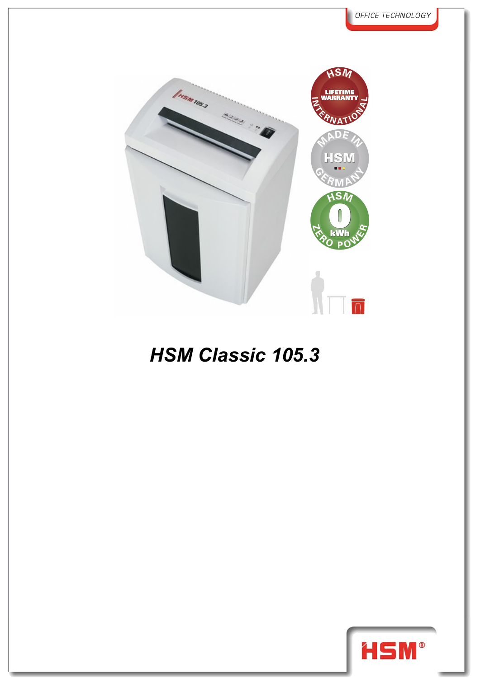

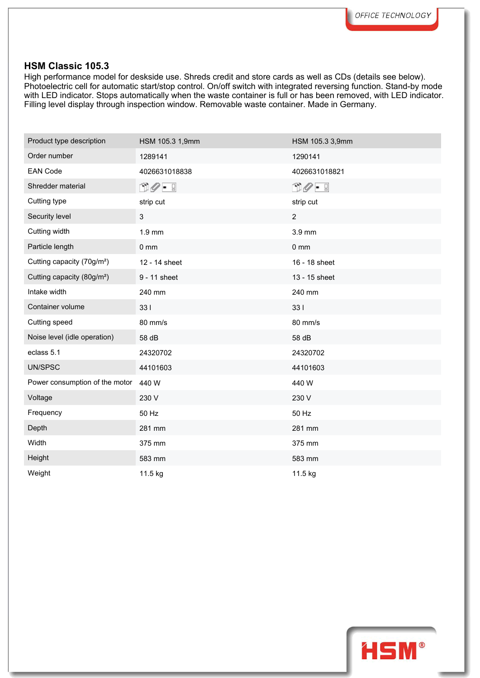High performance model for deskside use. Shreds credit and store cards as well as CDs (details see below). Photoelectric cell for automatic start/stop control. On/off switch with integrated reversing function. Stand-by mode with LED indicator. Stops automatically when the waste container is full or has been removed, with LED indicator. Filling level display through inspection window. Removable waste container. Made in Germany.

| Product type description               | HSM 105.3 1,9mm              | HSM 105.3 3,9mm |
|----------------------------------------|------------------------------|-----------------|
| Order number                           | 1289141                      | 1290141         |
| <b>EAN Code</b>                        | 4026631018838                | 4026631018821   |
| Shredder material                      | $\mathbb{C}Q$ - $\mathbb{C}$ | $DQ - I$        |
| Cutting type                           | strip cut                    | strip cut       |
| Security level                         | 3                            | $\overline{2}$  |
| Cutting width                          | 1.9 mm                       | 3.9 mm          |
| Particle length                        | $0 \text{ mm}$               | $0 \text{ mm}$  |
| Cutting capacity (70g/m <sup>2</sup> ) | 12 - 14 sheet                | 16 - 18 sheet   |
| Cutting capacity (80g/m <sup>2</sup> ) | 9 - 11 sheet                 | 13 - 15 sheet   |
| Intake width                           | 240 mm                       | 240 mm          |
| Container volume                       | 331                          | 331             |
| Cutting speed                          | 80 mm/s                      | 80 mm/s         |
| Noise level (idle operation)           | 58 dB                        | 58 dB           |
| eclass 5.1                             | 24320702                     | 24320702        |
| UN/SPSC                                | 44101603                     | 44101603        |
| Power consumption of the motor         | 440 W                        | 440 W           |
| Voltage                                | 230 V                        | 230 V           |
| Frequency                              | 50 Hz                        | 50 Hz           |
| Depth                                  | 281 mm                       | 281 mm          |
| Width                                  | 375 mm                       | 375 mm          |
| Height                                 | 583 mm                       | 583 mm          |
| Weight                                 | 11.5 kg                      | 11.5 kg         |

HSM®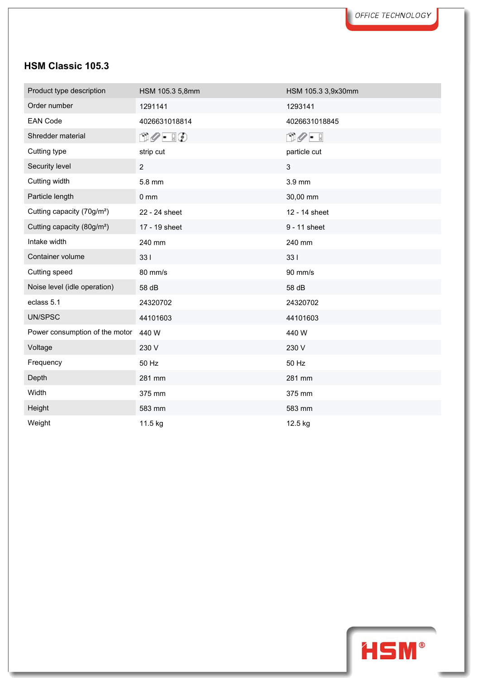| Product type description               | HSM 105.3 5,8mm               | HSM 105.3 3,9x30mm         |
|----------------------------------------|-------------------------------|----------------------------|
| Order number                           | 1291141                       | 1293141                    |
| <b>EAN Code</b>                        | 4026631018814                 | 4026631018845              |
| Shredder material                      | $\Box \oslash - \Box \oslash$ | $\mathbb{C}Q - \mathbb{R}$ |
| Cutting type                           | strip cut                     | particle cut               |
| Security level                         | $\overline{2}$                | 3                          |
| Cutting width                          | 5.8 mm                        | 3.9 mm                     |
| Particle length                        | $0 \, \text{mm}$              | 30,00 mm                   |
| Cutting capacity (70g/m <sup>2</sup> ) | 22 - 24 sheet                 | 12 - 14 sheet              |
| Cutting capacity (80g/m <sup>2</sup> ) | 17 - 19 sheet                 | 9 - 11 sheet               |
| Intake width                           | 240 mm                        | 240 mm                     |
| Container volume                       | 331                           | 331                        |
| Cutting speed                          | 80 mm/s                       | 90 mm/s                    |
| Noise level (idle operation)           | 58 dB                         | 58 dB                      |
| eclass 5.1                             | 24320702                      | 24320702                   |
| UN/SPSC                                | 44101603                      | 44101603                   |
| Power consumption of the motor         | 440 W                         | 440 W                      |
| Voltage                                | 230 V                         | 230 V                      |
| Frequency                              | 50 Hz                         | 50 Hz                      |
| Depth                                  | 281 mm                        | 281 mm                     |
| Width                                  | 375 mm                        | 375 mm                     |
| Height                                 | 583 mm                        | 583 mm                     |
| Weight                                 | 11.5 kg                       | 12.5 kg                    |